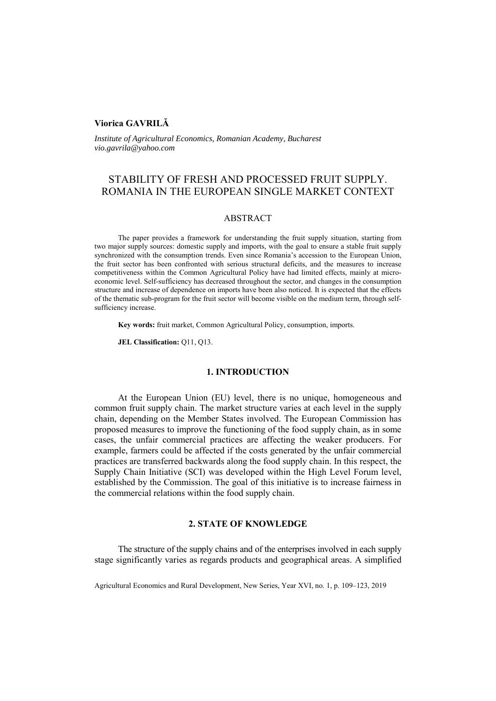# **Viorica GAVRILĂ**

*Institute of Agricultural Economics, Romanian Academy, Bucharest vio.gavrila@yahoo.com* 

# STABILITY OF FRESH AND PROCESSED FRUIT SUPPLY. ROMANIA IN THE EUROPEAN SINGLE MARKET CONTEXT

# ABSTRACT

The paper provides a framework for understanding the fruit supply situation, starting from two major supply sources: domestic supply and imports, with the goal to ensure a stable fruit supply synchronized with the consumption trends. Even since Romania's accession to the European Union, the fruit sector has been confronted with serious structural deficits, and the measures to increase competitiveness within the Common Agricultural Policy have had limited effects, mainly at microeconomic level. Self-sufficiency has decreased throughout the sector, and changes in the consumption structure and increase of dependence on imports have been also noticed. It is expected that the effects of the thematic sub-program for the fruit sector will become visible on the medium term, through selfsufficiency increase.

**Key words:** fruit market, Common Agricultural Policy, consumption, imports.

**JEL Classification:** Q11, Q13.

# **1. INTRODUCTION**

At the European Union (EU) level, there is no unique, homogeneous and common fruit supply chain. The market structure varies at each level in the supply chain, depending on the Member States involved. The European Commission has proposed measures to improve the functioning of the food supply chain, as in some cases, the unfair commercial practices are affecting the weaker producers. For example, farmers could be affected if the costs generated by the unfair commercial practices are transferred backwards along the food supply chain. In this respect, the Supply Chain Initiative (SCI) was developed within the High Level Forum level, established by the Commission. The goal of this initiative is to increase fairness in the commercial relations within the food supply chain.

### **2. STATE OF KNOWLEDGE**

The structure of the supply chains and of the enterprises involved in each supply stage significantly varies as regards products and geographical areas. A simplified

Agricultural Economics and Rural Development, New Series, Year XVI, no. 1, p. 109–123, 2019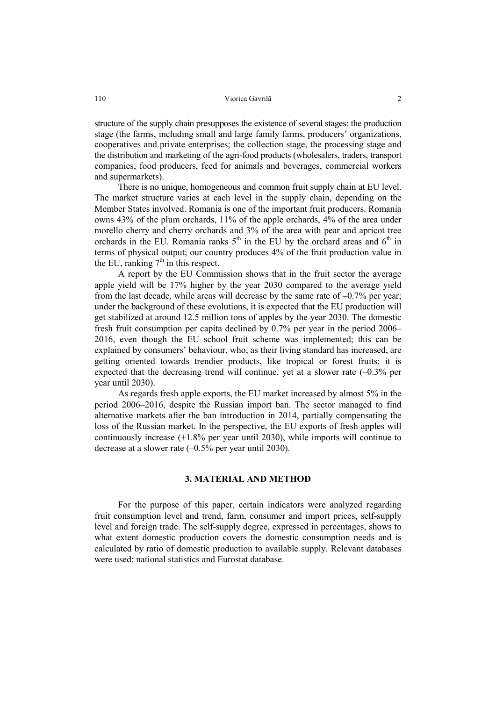structure of the supply chain presupposes the existence of several stages: the production stage (the farms, including small and large family farms, producers' organizations, cooperatives and private enterprises; the collection stage, the processing stage and the distribution and marketing of the agri-food products (wholesalers, traders, transport companies, food producers, feed for animals and beverages, commercial workers and supermarkets).

There is no unique, homogeneous and common fruit supply chain at EU level. The market structure varies at each level in the supply chain, depending on the Member States involved. Romania is one of the important fruit producers. Romania owns 43% of the plum orchards, 11% of the apple orchards, 4% of the area under morello cherry and cherry orchards and 3% of the area with pear and apricot tree orchards in the EU. Romania ranks  $5<sup>th</sup>$  in the EU by the orchard areas and  $6<sup>th</sup>$  in terms of physical output; our country produces 4% of the fruit production value in the EU, ranking  $7<sup>th</sup>$  in this respect.

A report by the EU Commission shows that in the fruit sector the average apple yield will be 17% higher by the year 2030 compared to the average yield from the last decade, while areas will decrease by the same rate of  $-0.7\%$  per year; under the background of these evolutions, it is expected that the EU production will get stabilized at around 12.5 million tons of apples by the year 2030. The domestic fresh fruit consumption per capita declined by 0.7% per year in the period 2006– 2016, even though the EU school fruit scheme was implemented; this can be explained by consumers' behaviour, who, as their living standard has increased, are getting oriented towards trendier products, like tropical or forest fruits; it is expected that the decreasing trend will continue, yet at a slower rate  $(-0.3\%$  per year until 2030).

As regards fresh apple exports, the EU market increased by almost 5% in the period 2006–2016, despite the Russian import ban. The sector managed to find alternative markets after the ban introduction in 2014, partially compensating the loss of the Russian market. In the perspective, the EU exports of fresh apples will continuously increase (+1.8% per year until 2030), while imports will continue to decrease at a slower rate  $(-0.5\%$  per year until 2030).

## **3. MATERIAL AND METHOD**

For the purpose of this paper, certain indicators were analyzed regarding fruit consumption level and trend, farm, consumer and import prices, self-supply level and foreign trade. The self-supply degree, expressed in percentages, shows to what extent domestic production covers the domestic consumption needs and is calculated by ratio of domestic production to available supply. Relevant databases were used: national statistics and Eurostat database.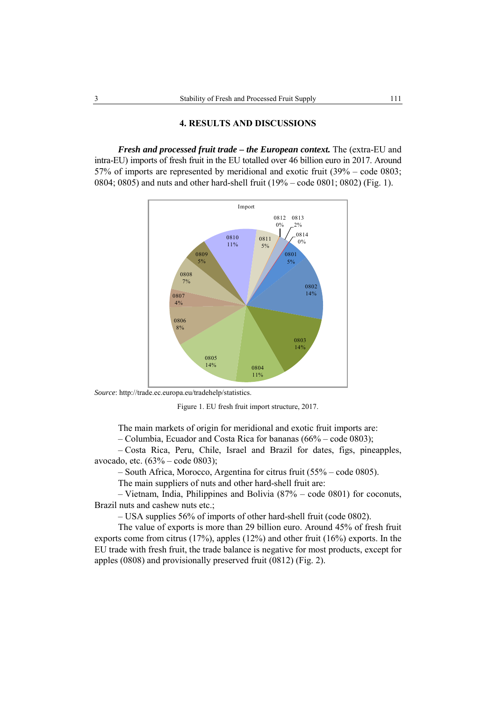### **4. RESULTS AND DISCUSSIONS**

*Fresh and processed fruit trade – the European context.* The (extra-EU and intra-EU) imports of fresh fruit in the EU totalled over 46 billion euro in 2017. Around 57% of imports are represented by meridional and exotic fruit (39% – code 0803; 0804; 0805) and nuts and other hard-shell fruit (19% – code 0801; 0802) (Fig. 1).



*Source*: http://trade.ec.europa.eu/tradehelp/statistics.

Figure 1. EU fresh fruit import structure, 2017.

The main markets of origin for meridional and exotic fruit imports are:

– Columbia, Ecuador and Costa Rica for bananas (66% – code 0803);

– Costa Rica, Peru, Chile, Israel and Brazil for dates, figs, pineapples, avocado, etc. (63% – code 0803);

– South Africa, Morocco, Argentina for citrus fruit (55% – code 0805).

The main suppliers of nuts and other hard-shell fruit are:

– Vietnam, India, Philippines and Bolivia (87% – code 0801) for coconuts, Brazil nuts and cashew nuts etc.;

– USA supplies 56% of imports of other hard-shell fruit (code 0802).

The value of exports is more than 29 billion euro. Around 45% of fresh fruit exports come from citrus (17%), apples (12%) and other fruit (16%) exports. In the EU trade with fresh fruit, the trade balance is negative for most products, except for apples (0808) and provisionally preserved fruit (0812) (Fig. 2).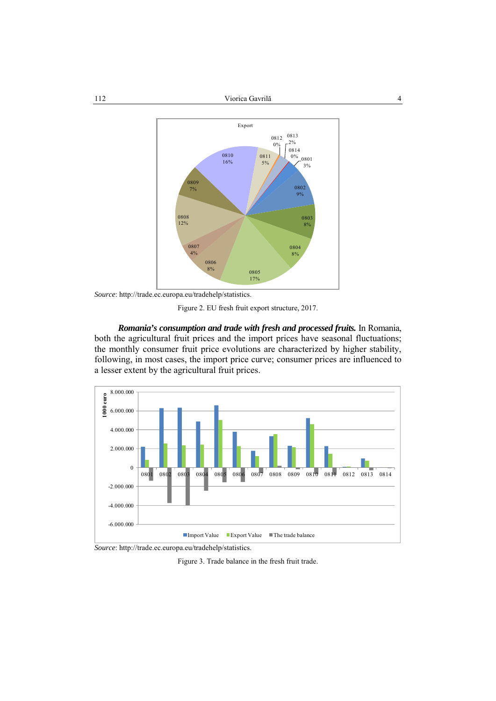#### Viorica Gavrilă 4 112



*Source*: http://trade.ec.europa.eu/tradehelp/statistics.

Figure 2. EU fresh fruit export structure, 2017.

*Romania's consumption and trade with fresh and processed fruits.* In Romania, both the agricultural fruit prices and the import prices have seasonal fluctuations; the monthly consumer fruit price evolutions are characterized by higher stability, following, in most cases, the import price curve; consumer prices are influenced to a lesser extent by the agricultural fruit prices.



*Source*: http://trade.ec.europa.eu/tradehelp/statistics.

Figure 3. Trade balance in the fresh fruit trade.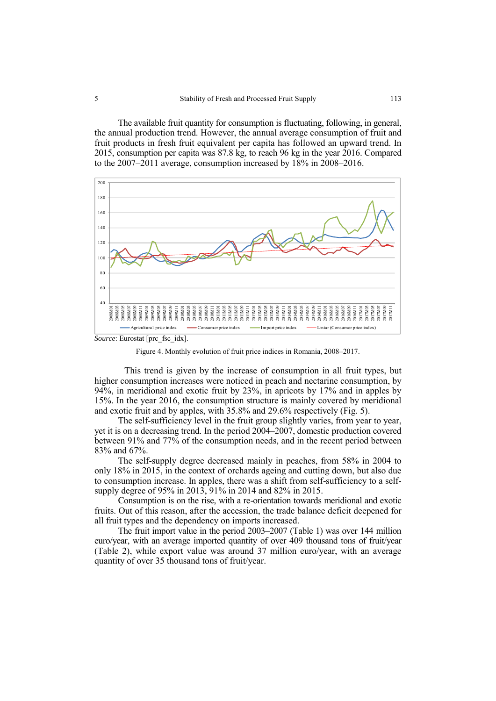The available fruit quantity for consumption is fluctuating, following, in general, the annual production trend. However, the annual average consumption of fruit and fruit products in fresh fruit equivalent per capita has followed an upward trend. In 2015, consumption per capita was 87.8 kg, to reach 96 kg in the year 2016. Compared to the 2007–2011 average, consumption increased by 18% in 2008–2016.



*Source*: Eurostat [prc\_fsc\_idx].

Figure 4. Monthly evolution of fruit price indices in Romania, 2008–2017.

This trend is given by the increase of consumption in all fruit types, but higher consumption increases were noticed in peach and nectarine consumption, by 94%, in meridional and exotic fruit by 23%, in apricots by 17% and in apples by 15%. In the year 2016, the consumption structure is mainly covered by meridional and exotic fruit and by apples, with 35.8% and 29.6% respectively (Fig. 5).

The self-sufficiency level in the fruit group slightly varies, from year to year, yet it is on a decreasing trend. In the period 2004–2007, domestic production covered between 91% and 77% of the consumption needs, and in the recent period between 83% and 67%.

The self-supply degree decreased mainly in peaches, from 58% in 2004 to only 18% in 2015, in the context of orchards ageing and cutting down, but also due to consumption increase. In apples, there was a shift from self-sufficiency to a selfsupply degree of 95% in 2013, 91% in 2014 and 82% in 2015.

Consumption is on the rise, with a re-orientation towards meridional and exotic fruits. Out of this reason, after the accession, the trade balance deficit deepened for all fruit types and the dependency on imports increased.

The fruit import value in the period 2003–2007 (Table 1) was over 144 million euro/year, with an average imported quantity of over 409 thousand tons of fruit/year (Table 2), while export value was around 37 million euro/year, with an average quantity of over 35 thousand tons of fruit/year.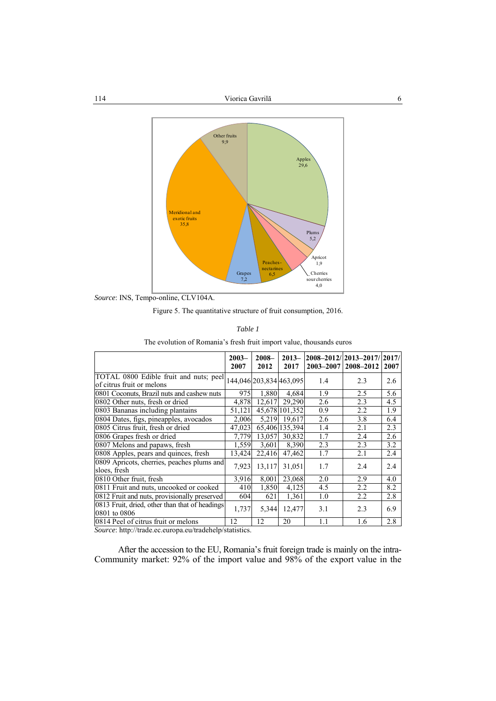

*Source*: INS, Tempo-online, CLV104A.

Figure 5. The quantitative structure of fruit consumption, 2016.

|--|--|

The evolution of Romania's fresh fruit import value, thousands euros

|                                                                     | $2003 -$<br>2007 | $2008 -$<br>2012        | $2013-$<br>2017 | 2003-2007 | 2008-2012/12013-2017/12017/<br>2008-2012 | 2007 |
|---------------------------------------------------------------------|------------------|-------------------------|-----------------|-----------|------------------------------------------|------|
| TOTAL 0800 Edible fruit and nuts; peel<br>of citrus fruit or melons |                  | 144,046 203,834 463,095 |                 | 1.4       | 2.3                                      | 2.6  |
| 0801 Coconuts, Brazil nuts and cashew nuts                          | 975              | 1,880                   | 4.684           | 1.9       | 2.5                                      | 5.6  |
| 0802 Other nuts, fresh or dried                                     | 4,878            | 12,617                  | 29,290          | 2.6       | 2.3                                      | 4.5  |
| 0803 Bananas including plantains                                    | 51.121           |                         | 45.678 101.352  | 0.9       | 2.2                                      | 1.9  |
| 0804 Dates, figs, pineapples, avocados                              | 2.006            | 5,219                   | 19.617          | 2.6       | 3.8                                      | 6.4  |
| 0805 Citrus fruit, fresh or dried                                   | 47.023           |                         | 65,406 135,394  | 1.4       | 2.1                                      | 2.3  |
| 0806 Grapes fresh or dried                                          | 7,779            | 13,057                  | 30,832          | 1.7       | 2.4                                      | 2.6  |
| 0807 Melons and papaws, fresh                                       | 1,559            | 3,601                   | 8,390           | 2.3       | 2.3                                      | 3.2  |
| 0808 Apples, pears and quinces, fresh                               | 13,424           | 22,416                  | 47,462          | 1.7       | 2.1                                      | 2.4  |
| 0809 Apricots, cherries, peaches plums and<br>sloes, fresh          | 7,923            | 13,117                  | 31,051          | 1.7       | 2.4                                      | 2.4  |
| 0810 Other fruit, fresh                                             | 3,916            | 8,001                   | 23,068          | 2.0       | 2.9                                      | 4.0  |
| 0811 Fruit and nuts, uncooked or cooked                             | 410              | 1,850                   | 4,125           | 4.5       | 2.2                                      | 8.2  |
| 0812 Fruit and nuts, provisionally preserved                        | 604              | 621                     | 1,361           | 1.0       | 2.2                                      | 2.8  |
| 0813 Fruit, dried, other than that of headings<br>0801 to 0806      | 1,737            | 5,344                   | 12,477          | 3.1       | 2.3                                      | 6.9  |
| 0814 Peel of citrus fruit or melons                                 | 12               | 12                      | 20              | 1.1       | 1.6                                      | 2.8  |

*Source*: http://trade.ec.europa.eu/tradehelp/statistics.

After the accession to the EU, Romania's fruit foreign trade is mainly on the intra-Community market: 92% of the import value and 98% of the export value in the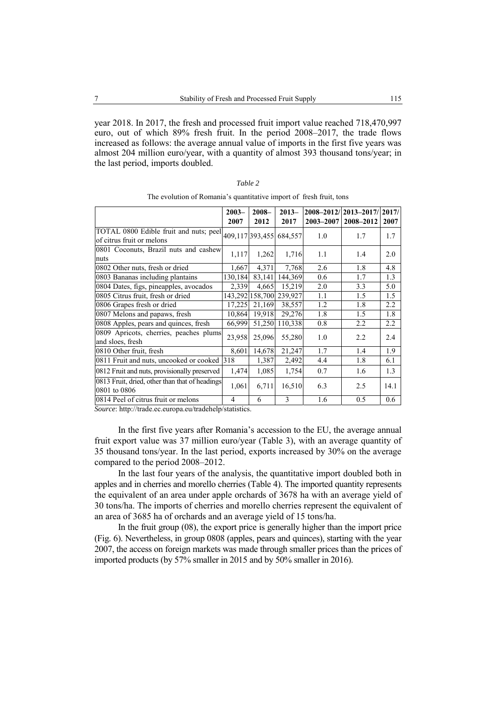year 2018. In 2017, the fresh and processed fruit import value reached 718,470,997 euro, out of which 89% fresh fruit. In the period 2008–2017, the trade flows increased as follows: the average annual value of imports in the first five years was almost 204 million euro/year, with a quantity of almost 393 thousand tons/year; in the last period, imports doubled.

| an<br>, |  |
|---------|--|
|         |  |

|                                                                     | $2003 -$<br>2007 | $2008 -$<br>2012 | $2013-$<br>2017         | 2003-2007 | 2008-2012/12013-2017/12017/<br>2008-2012 | 2007 |
|---------------------------------------------------------------------|------------------|------------------|-------------------------|-----------|------------------------------------------|------|
| TOTAL 0800 Edible fruit and nuts; peel<br>of citrus fruit or melons |                  |                  | 409,117 393,455 684,557 | 1.0       | 1.7                                      | 1.7  |
| 0801 Coconuts, Brazil nuts and cashew<br>nuts                       | 1,117            | 1,262            | 1,716                   | 1.1       | 1.4                                      | 2.0  |
| 0802 Other nuts, fresh or dried                                     | 1,667            | 4,371            | 7,768                   | 2.6       | 1.8                                      | 4.8  |
| 0803 Bananas including plantains                                    | 130,184          | 83,141           | 144,369                 | 0.6       | 1.7                                      | 1.3  |
| 0804 Dates, figs, pineapples, avocados                              | 2,339            | 4,665            | 15,219                  | 2.0       | 3.3                                      | 5.0  |
| 0805 Citrus fruit, fresh or dried                                   |                  | 143,292 158,700  | 239,927                 | 1.1       | 1.5                                      | 1.5  |
| 0806 Grapes fresh or dried                                          | 17,225           | 21,169           | 38,557                  | 1.2       | 1.8                                      | 2.2  |
| 0807 Melons and papaws, fresh                                       | 10,864           | 19,918           | 29,276                  | 1.8       | 1.5                                      | 1.8  |
| 0808 Apples, pears and quinces, fresh                               | 66,999           |                  | 51,250 110,338          | 0.8       | 2.2                                      | 2.2  |
| 0809 Apricots, cherries, peaches plums<br>and sloes, fresh          | 23,958           | 25,096           | 55,280                  | 1.0       | 2.2                                      | 2.4  |
| 0810 Other fruit, fresh                                             | 8,601            | 14,678           | 21,247                  | 1.7       | 1.4                                      | 1.9  |
| 0811 Fruit and nuts, uncooked or cooked 318                         |                  | 1,387            | 2,492                   | 4.4       | 1.8                                      | 6.1  |
| 0812 Fruit and nuts, provisionally preserved                        | 1,474            | 1,085            | 1,754                   | 0.7       | 1.6                                      | 1.3  |
| 0813 Fruit, dried, other than that of headings<br>0801 to 0806      | 1,061            | 6,711            | 16,510                  | 6.3       | 2.5                                      | 14.1 |
| 0814 Peel of citrus fruit or melons                                 | 4                | 6                | 3                       | 1.6       | 0.5                                      | 0.6  |

The evolution of Romania's quantitative import of fresh fruit, tons

*Source*: http://trade.ec.europa.eu/tradehelp/statistics.

In the first five years after Romania's accession to the EU, the average annual fruit export value was 37 million euro/year (Table 3), with an average quantity of 35 thousand tons/year. In the last period, exports increased by 30% on the average compared to the period 2008–2012.

In the last four years of the analysis, the quantitative import doubled both in apples and in cherries and morello cherries (Table 4). The imported quantity represents the equivalent of an area under apple orchards of 3678 ha with an average yield of 30 tons/ha. The imports of cherries and morello cherries represent the equivalent of an area of 3685 ha of orchards and an average yield of 15 tons/ha.

In the fruit group (08), the export price is generally higher than the import price (Fig. 6). Nevertheless, in group 0808 (apples, pears and quinces), starting with the year 2007, the access on foreign markets was made through smaller prices than the prices of imported products (by 57% smaller in 2015 and by 50% smaller in 2016).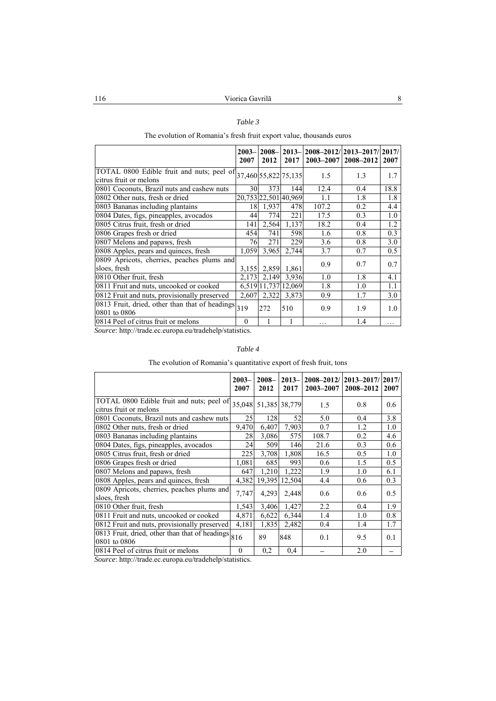### *Table 3*

## The evolution of Romania's fresh fruit export value, thousands euros

|                                                                                          | $2003 -$<br>2007 | $2008 -$<br>2012 | 2017                 | 2013-2008-2012/2013-2017/2017/<br>$ 2003 - 2007 2008 - 2012 $ |     | 2007 |
|------------------------------------------------------------------------------------------|------------------|------------------|----------------------|---------------------------------------------------------------|-----|------|
| TOTAL 0800 Edible fruit and nuts; peel of 37,460 55,822 75,135<br>citrus fruit or melons |                  |                  |                      | 1.5                                                           | 1.3 | 1.7  |
| 0801 Coconuts, Brazil nuts and cashew nuts                                               | 30               | 373              | 144                  | 12.4                                                          | 0.4 | 18.8 |
| 0802 Other nuts, fresh or dried                                                          |                  |                  | 20,753 22,501 40,969 | 1.1                                                           | 1.8 | 1.8  |
| 0803 Bananas including plantains                                                         | 18               | 1,937            | 478                  | 107.2                                                         | 0.2 | 4.4  |
| 0804 Dates, figs, pineapples, avocados                                                   | 44               | 774              | 221                  | 17.5                                                          | 0.3 | 1.0  |
| 0805 Citrus fruit, fresh or dried                                                        | 141              | 2,564            | 1,137                | 18.2                                                          | 0.4 | 1.2  |
| 0806 Grapes fresh or dried                                                               | 454              | 741              | 598                  | 1.6                                                           | 0.8 | 0.3  |
| 0807 Melons and papaws, fresh                                                            | 761              | 271              | 229                  | 3.6                                                           | 0.8 | 3.0  |
| 0808 Apples, pears and quinces, fresh                                                    | 1,059            | 3,965            | 2.744                | 3.7                                                           | 0.7 | 0.5  |
| 0809 Apricots, cherries, peaches plums and<br>sloes, fresh                               | 3,155            | 2,859            | 1,861                | 0.9                                                           | 0.7 | 0.7  |
| 0810 Other fruit, fresh                                                                  | 2,173            |                  | 2,149 3,936          | 1.0                                                           | 1.8 | 4.1  |
| 0811 Fruit and nuts, uncooked or cooked                                                  |                  |                  | 6,519 11,737 12,069  | 1.8                                                           | 1.0 | 1.1  |
| 0812 Fruit and nuts, provisionally preserved                                             | 2,607            | 2,322            | 3,873                | 0.9                                                           | 1.7 | 3.0  |
| 0813 Fruit, dried, other than that of headings<br>0801 to 0806                           | 319              | 272              | 510                  | 0.9                                                           | 1.9 | 1.0  |
| 0814 Peel of citrus fruit or melons                                                      | $\Omega$         |                  |                      | .                                                             | 1.4 | .    |

*Source*: http://trade.ec.europa.eu/tradehelp/statistics.

### *Table 4*

# The evolution of Romania's quantitative export of fresh fruit, tons

|                                                                     | $2003 -$<br>2007 | $2008 -$<br>2012 | $2013-$<br>2017 | $2008 - 2012/$<br>2003-2007 | 2013–2017/   2017/<br>2008-2012 | 2007 |
|---------------------------------------------------------------------|------------------|------------------|-----------------|-----------------------------|---------------------------------|------|
| TOTAL 0800 Edible fruit and nuts; peel of<br>citrus fruit or melons | 35,048           |                  | 51,385 38,779   | 1.5                         | 0.8                             | 0.6  |
| 0801 Coconuts, Brazil nuts and cashew nuts                          | 25               | <b>128</b>       | 52              | 5.0                         | 0.4                             | 3.8  |
| 0802 Other nuts, fresh or dried                                     | 9,470            | 6,407            | 7,903           | 0.7                         | 1.2                             | 1.0  |
| 0803 Bananas including plantains                                    | 28               | 3,086            | 575             | 108.7                       | 0.2                             | 4.6  |
| 0804 Dates, figs, pineapples, avocados                              | 24               | 509              | 146             | 21.6                        | 0.3                             | 0.6  |
| 0805 Citrus fruit, fresh or dried                                   | 225              | 3,708            | 1,808           | 16.5                        | 0.5                             | 1.0  |
| 0806 Grapes fresh or dried                                          | 1,081            | 685              | 993             | 0.6                         | 1.5                             | 0.5  |
| 0807 Melons and papaws, fresh                                       | 647              | 1,210            | 1,222           | 1.9                         | 1.0                             | 6.1  |
| 0808 Apples, pears and quinces, fresh                               | 4,382            | 19.395           | 12.504          | 4.4                         | 0.6                             | 0.3  |
| 0809 Apricots, cherries, peaches plums and<br>sloes, fresh          | 7,747            | 4,293            | 2,448           | 0.6                         | $0.6^{\circ}$                   | 0.5  |
| 0810 Other fruit, fresh                                             | 1,543            | 3,406            | 1,427           | 2.2                         | 0.4                             | 1.9  |
| 0811 Fruit and nuts, uncooked or cooked                             | 4,871            | 6,622            | 6,344           | 1.4                         | 1.0                             | 0.8  |
| 0812 Fruit and nuts, provisionally preserved                        | 4,181            | 1,835            | 2,482           | 0.4                         | 1.4                             | 1.7  |
| 0813 Fruit, dried, other than that of headings<br>0801 to 0806      | 816              | 89               | 848             | 0.1                         | 9.5                             | 0.1  |
| 0814 Peel of citrus fruit or melons                                 | $\theta$         | 0,2              | 0,4             |                             | 2.0                             |      |

*Source*: http://trade.ec.europa.eu/tradehelp/statistics.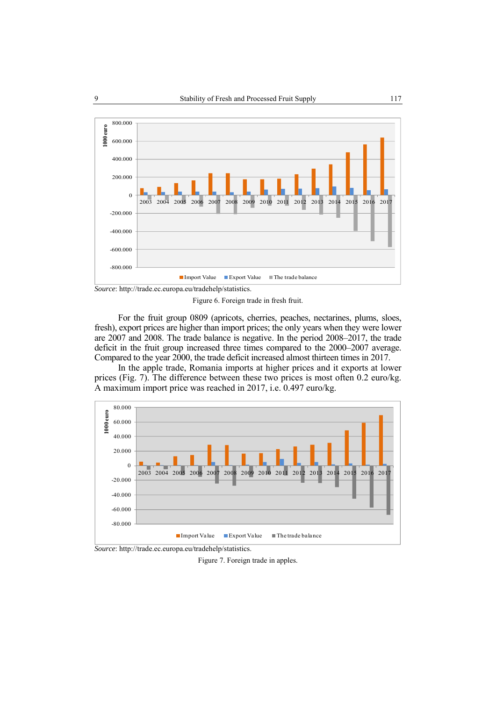

Figure 6. Foreign trade in fresh fruit.

For the fruit group 0809 (apricots, cherries, peaches, nectarines, plums, sloes, fresh), export prices are higher than import prices; the only years when they were lower are 2007 and 2008. The trade balance is negative. In the period 2008–2017, the trade deficit in the fruit group increased three times compared to the 2000–2007 average. Compared to the year 2000, the trade deficit increased almost thirteen times in 2017.

In the apple trade, Romania imports at higher prices and it exports at lower prices (Fig. 7). The difference between these two prices is most often 0.2 euro/kg. A maximum import price was reached in 2017, i.e. 0.497 euro/kg.



*Source*: http://trade.ec.europa.eu/tradehelp/statistics.

Figure 7. Foreign trade in apples.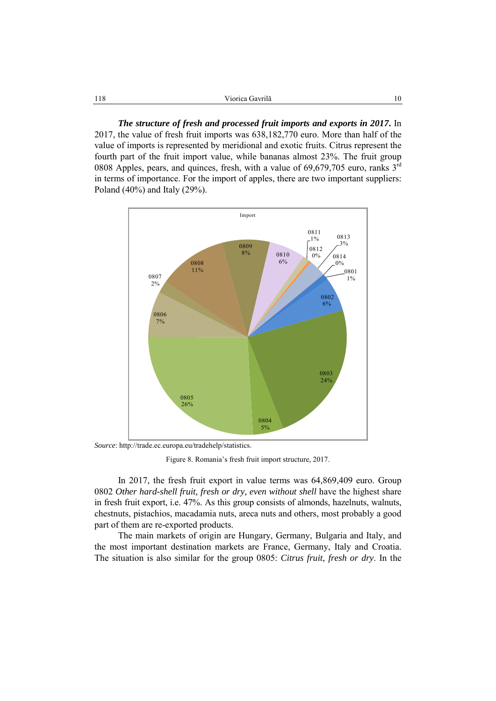*The structure of fresh and processed fruit imports and exports in 2017***.** In 2017, the value of fresh fruit imports was 638,182,770 euro. More than half of the value of imports is represented by meridional and exotic fruits. Citrus represent the fourth part of the fruit import value, while bananas almost 23%. The fruit group 0808 Apples, pears, and quinces, fresh, with a value of  $69,679,705$  euro, ranks  $3<sup>rd</sup>$ in terms of importance. For the import of apples, there are two important suppliers: Poland (40%) and Italy (29%).



*Source*: http://trade.ec.europa.eu/tradehelp/statistics.

Figure 8. Romania's fresh fruit import structure, 2017.

In 2017, the fresh fruit export in value terms was 64,869,409 euro. Group 0802 *Other hard-shell fruit, fresh or dry, even without shell* have the highest share in fresh fruit export, i.e. 47%. As this group consists of almonds, hazelnuts, walnuts, chestnuts, pistachios, macadamia nuts, areca nuts and others, most probably a good part of them are re-exported products.

The main markets of origin are Hungary, Germany, Bulgaria and Italy, and the most important destination markets are France, Germany, Italy and Croatia. The situation is also similar for the group 0805: *Citrus fruit, fresh or dry*. In the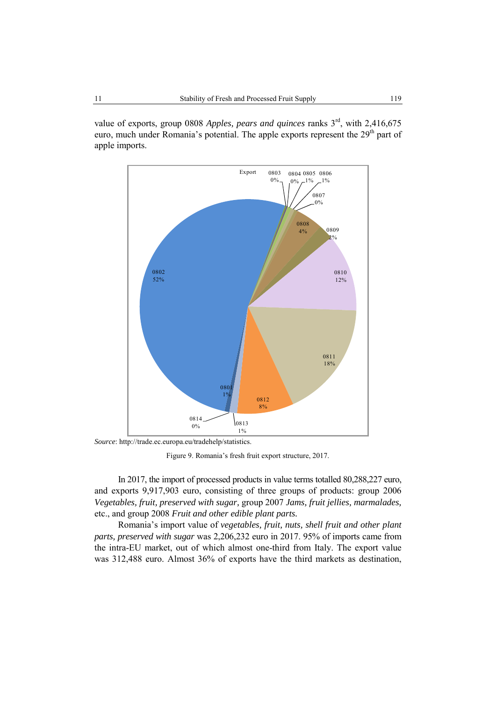value of exports, group 0808 *Apples, pears and quinces* ranks 3<sup>rd</sup>, with 2,416,675 euro, much under Romania's potential. The apple exports represent the 29<sup>th</sup> part of apple imports.



*Source*: http://trade.ec.europa.eu/tradehelp/statistics.

Figure 9. Romania's fresh fruit export structure, 2017.

In 2017, the import of processed products in value terms totalled 80,288,227 euro, and exports 9,917,903 euro, consisting of three groups of products: group 2006 *Vegetables, fruit, preserved with sugar,* group 2007 *Jams, fruit jellies, marmalades,* etc., and group 2008 *Fruit and other edible plant parts.*

Romania's import value of *vegetables, fruit, nuts, shell fruit and other plant parts, preserved with sugar* was 2,206,232 euro in 2017. 95% of imports came from the intra-EU market, out of which almost one-third from Italy. The export value was 312,488 euro. Almost 36% of exports have the third markets as destination,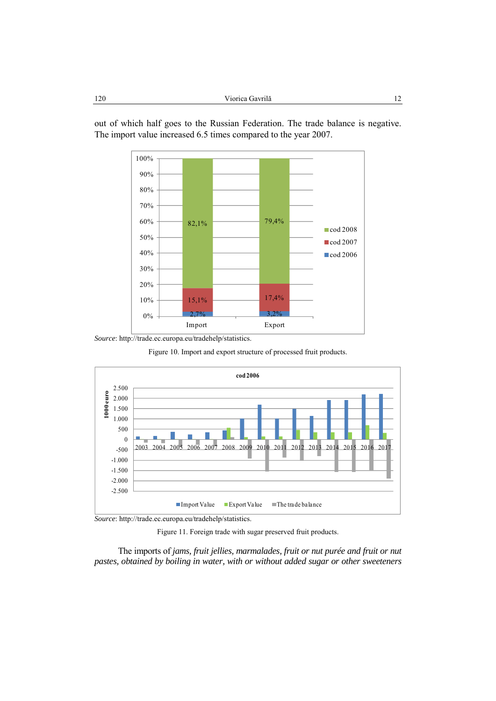

out of which half goes to the Russian Federation. The trade balance is negative. The import value increased 6.5 times compared to the year 2007.

*Source*: http://trade.ec.europa.eu/tradehelp/statistics.

Figure 10. Import and export structure of processed fruit products.



*Source*: http://trade.ec.europa.eu/tradehelp/statistics.

Figure 11. Foreign trade with sugar preserved fruit products.

The imports of *jams, fruit jellies, marmalades, fruit or nut purée and fruit or nut pastes, obtained by boiling in water, with or without added sugar or other sweeteners*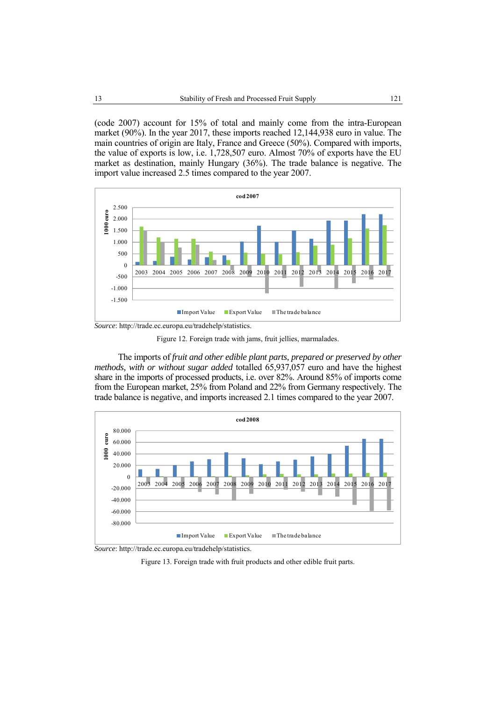(code 2007) account for 15% of total and mainly come from the intra-European market (90%). In the year 2017, these imports reached 12,144,938 euro in value. The main countries of origin are Italy, France and Greece (50%). Compared with imports, the value of exports is low, i.e. 1,728,507 euro. Almost 70% of exports have the EU market as destination, mainly Hungary (36%). The trade balance is negative. The import value increased 2.5 times compared to the year 2007.



*Source*: http://trade.ec.europa.eu/tradehelp/statistics.

Figure 12. Foreign trade with jams, fruit jellies, marmalades.

The imports of *fruit and other edible plant parts, prepared or preserved by other methods, with or without sugar added* totalled 65,937,057 euro and have the highest share in the imports of processed products, i.e. over 82%. Around 85% of imports come from the European market, 25% from Poland and 22% from Germany respectively. The trade balance is negative, and imports increased 2.1 times compared to the year 2007.



*Source*: http://trade.ec.europa.eu/tradehelp/statistics.

Figure 13. Foreign trade with fruit products and other edible fruit parts.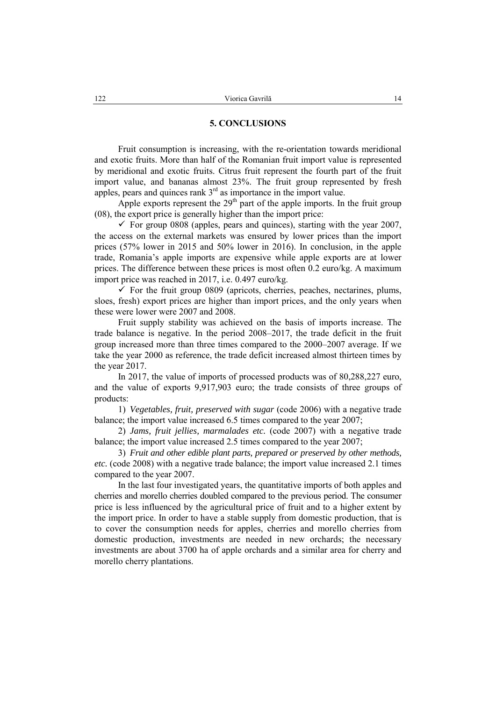### **5. CONCLUSIONS**

Fruit consumption is increasing, with the re-orientation towards meridional and exotic fruits. More than half of the Romanian fruit import value is represented by meridional and exotic fruits. Citrus fruit represent the fourth part of the fruit import value, and bananas almost 23%. The fruit group represented by fresh apples, pears and quinces rank 3<sup>rd</sup> as importance in the import value.

Apple exports represent the  $29<sup>th</sup>$  part of the apple imports. In the fruit group (08), the export price is generally higher than the import price:

 $\checkmark$  For group 0808 (apples, pears and quinces), starting with the year 2007, the access on the external markets was ensured by lower prices than the import prices (57% lower in 2015 and 50% lower in 2016). In conclusion, in the apple trade, Romania's apple imports are expensive while apple exports are at lower prices. The difference between these prices is most often 0.2 euro/kg. A maximum import price was reached in 2017, i.e. 0.497 euro/kg.

 $\checkmark$  For the fruit group 0809 (apricots, cherries, peaches, nectarines, plums, sloes, fresh) export prices are higher than import prices, and the only years when these were lower were 2007 and 2008.

Fruit supply stability was achieved on the basis of imports increase. The trade balance is negative. In the period 2008–2017, the trade deficit in the fruit group increased more than three times compared to the 2000–2007 average. If we take the year 2000 as reference, the trade deficit increased almost thirteen times by the year 2017.

In 2017, the value of imports of processed products was of 80,288,227 euro, and the value of exports 9,917,903 euro; the trade consists of three groups of products:

1) *Vegetables, fruit, preserved with sugar* (code 2006) with a negative trade balance; the import value increased 6.5 times compared to the year 2007;

2) *Jams, fruit jellies, marmalades etc.* (code 2007) with a negative trade balance; the import value increased 2.5 times compared to the year 2007;

3) *Fruit and other edible plant parts, prepared or preserved by other methods, etc.* (code 2008) with a negative trade balance; the import value increased 2.1 times compared to the year 2007.

In the last four investigated years, the quantitative imports of both apples and cherries and morello cherries doubled compared to the previous period. The consumer price is less influenced by the agricultural price of fruit and to a higher extent by the import price. In order to have a stable supply from domestic production, that is to cover the consumption needs for apples, cherries and morello cherries from domestic production, investments are needed in new orchards; the necessary investments are about 3700 ha of apple orchards and a similar area for cherry and morello cherry plantations.